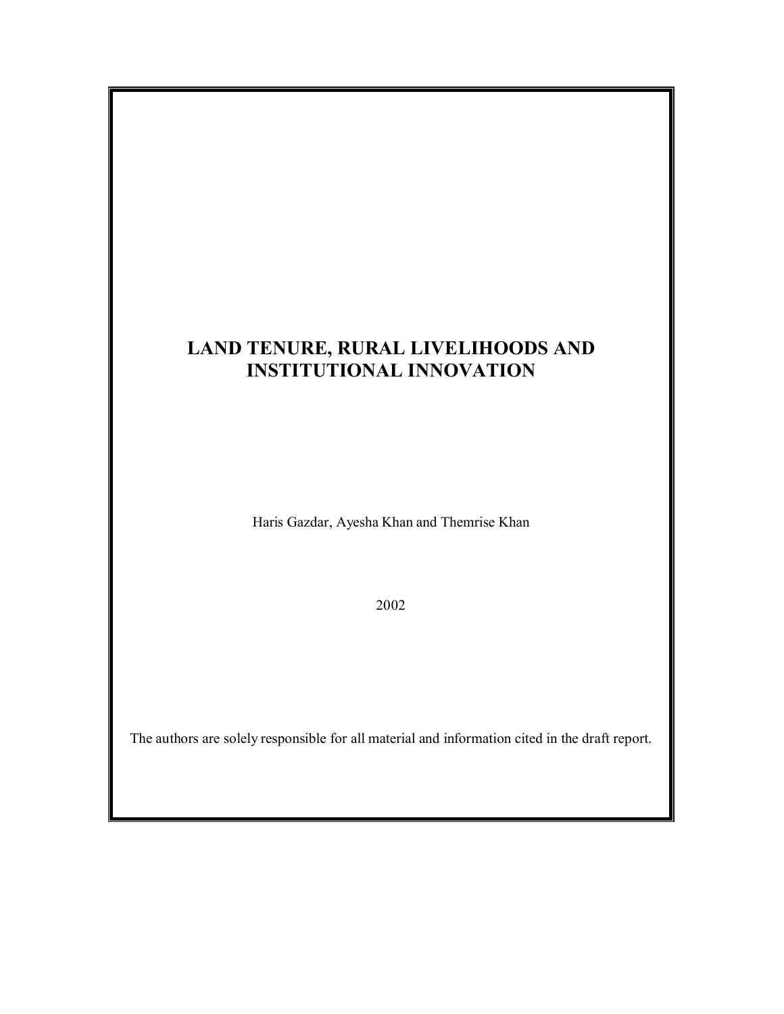# **LAND TENURE, RURAL LIVELIHOODS AND INSTITUTIONAL INNOVATION**

Haris Gazdar, Ayesha Khan and Themrise Khan

2002

The authors are solely responsible for all material and information cited in the draft report.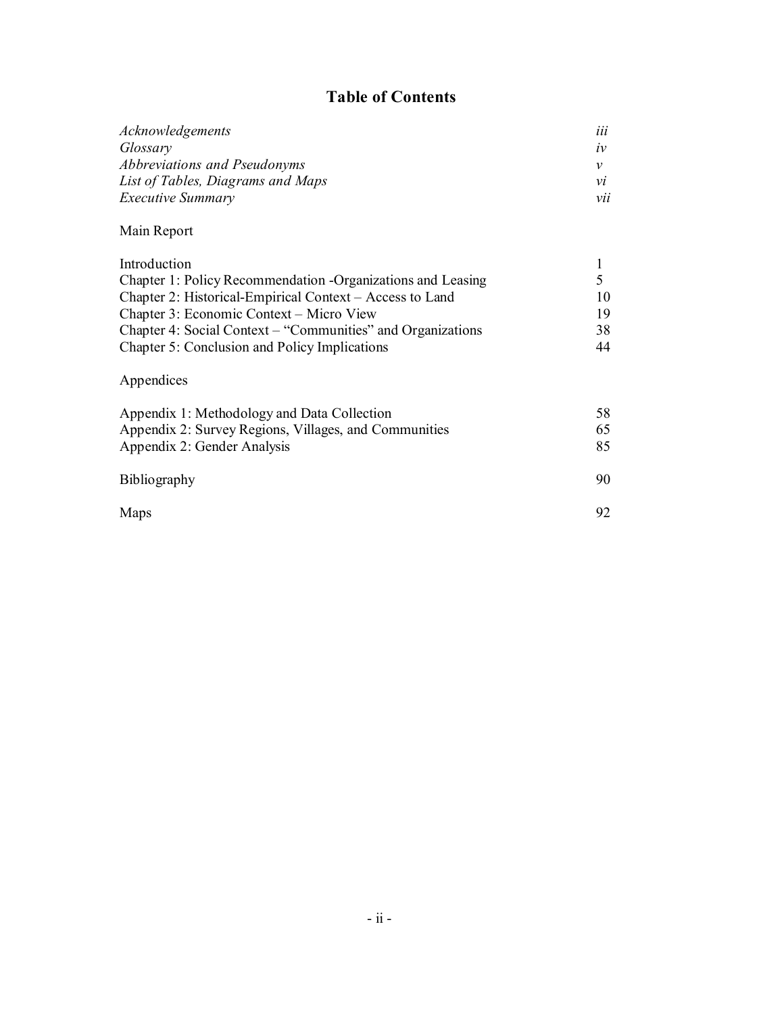## **Table of Contents**

| Acknowledgements                    | iii            |
|-------------------------------------|----------------|
| Glossary                            | $\mathcal{IV}$ |
| <i>Abbreviations and Pseudonyms</i> |                |
| List of Tables, Diagrams and Maps   | νi             |
| <i>Executive Summary</i>            | vii            |
|                                     |                |

## Main Report

| Introduction                                                |     |
|-------------------------------------------------------------|-----|
| Chapter 1: Policy Recommendation -Organizations and Leasing |     |
| Chapter 2: Historical-Empirical Context – Access to Land    |     |
| Chapter 3: Economic Context – Micro View                    | 19. |
| Chapter 4: Social Context – "Communities" and Organizations | 38  |
| Chapter 5: Conclusion and Policy Implications               | 44  |

## Appendices

| Appendix 1: Methodology and Data Collection<br>Appendix 2: Survey Regions, Villages, and Communities<br>Appendix 2: Gender Analysis | 58<br>65<br>85 |
|-------------------------------------------------------------------------------------------------------------------------------------|----------------|
| <b>Bibliography</b>                                                                                                                 | 90             |
| Maps                                                                                                                                | 92             |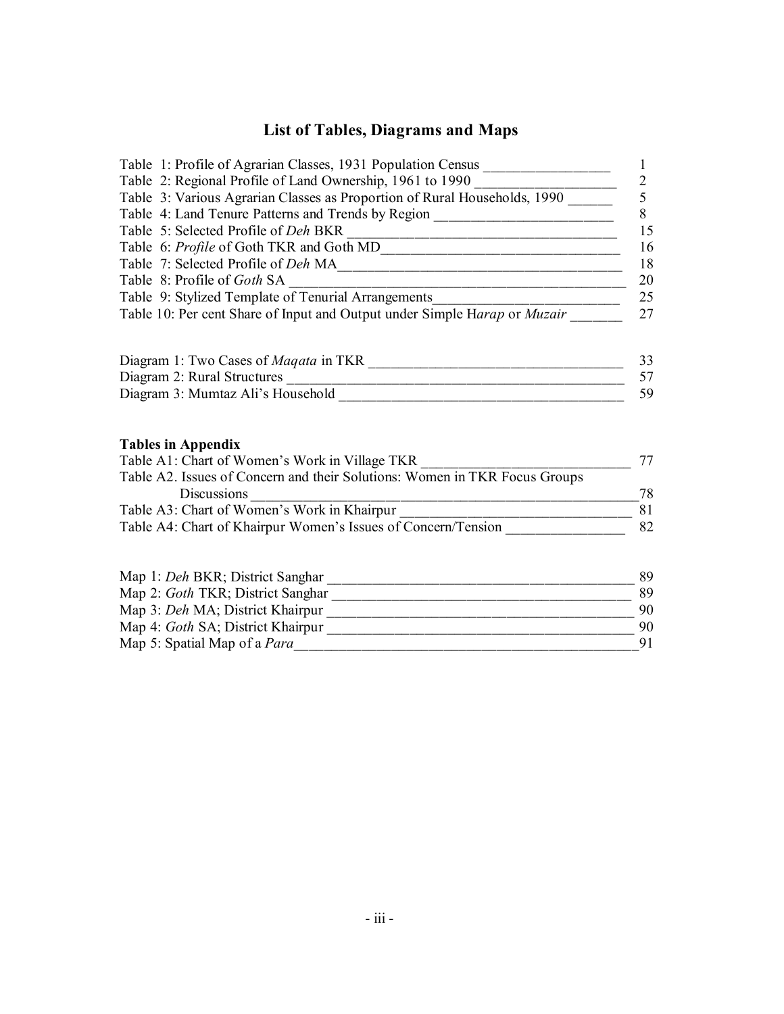# **List of Tables, Diagrams and Maps**

| Table 1: Profile of Agrarian Classes, 1931 Population Census ___________________                                                    | $\mathbf{1}$   |
|-------------------------------------------------------------------------------------------------------------------------------------|----------------|
| Table 2: Regional Profile of Land Ownership, 1961 to 1990 ______________________                                                    | $\frac{2}{5}$  |
| Table 3: Various Agrarian Classes as Proportion of Rural Households, 1990 ____                                                      |                |
| Table 4: Land Tenure Patterns and Trends by Region ______________________________                                                   | 8              |
|                                                                                                                                     | 15             |
|                                                                                                                                     | 16             |
|                                                                                                                                     | 18             |
|                                                                                                                                     | 20             |
| Table 9: Stylized Template of Tenurial Arrangements_____________________________                                                    | 25             |
| Table 10: Per cent Share of Input and Output under Simple Harap or Muzair                                                           | 27             |
|                                                                                                                                     |                |
|                                                                                                                                     |                |
|                                                                                                                                     | 33             |
|                                                                                                                                     | 57             |
|                                                                                                                                     | 59             |
|                                                                                                                                     |                |
|                                                                                                                                     |                |
|                                                                                                                                     |                |
| <b>Tables in Appendix</b>                                                                                                           |                |
|                                                                                                                                     | 77             |
| Table A1: Chart of Women's Work in Village TKR<br>Table A2. Issues of Concern and their Solutions: Women in TKR Focus Groups        |                |
| Discussions<br><u> 2000 - Jan James James Barbara, menyebaran bagian pengaran pengaran pengaran pengaran pengaran pengaran peng</u> | 78<br>81       |
|                                                                                                                                     | 82             |
| Table A3: Chart of Women's Work in Khairpur<br>Table A4: Chart of Khairpur Women's Issues of Concern/Tension                        |                |
|                                                                                                                                     |                |
|                                                                                                                                     |                |
|                                                                                                                                     |                |
|                                                                                                                                     |                |
|                                                                                                                                     | 89<br>89<br>90 |
|                                                                                                                                     | 91             |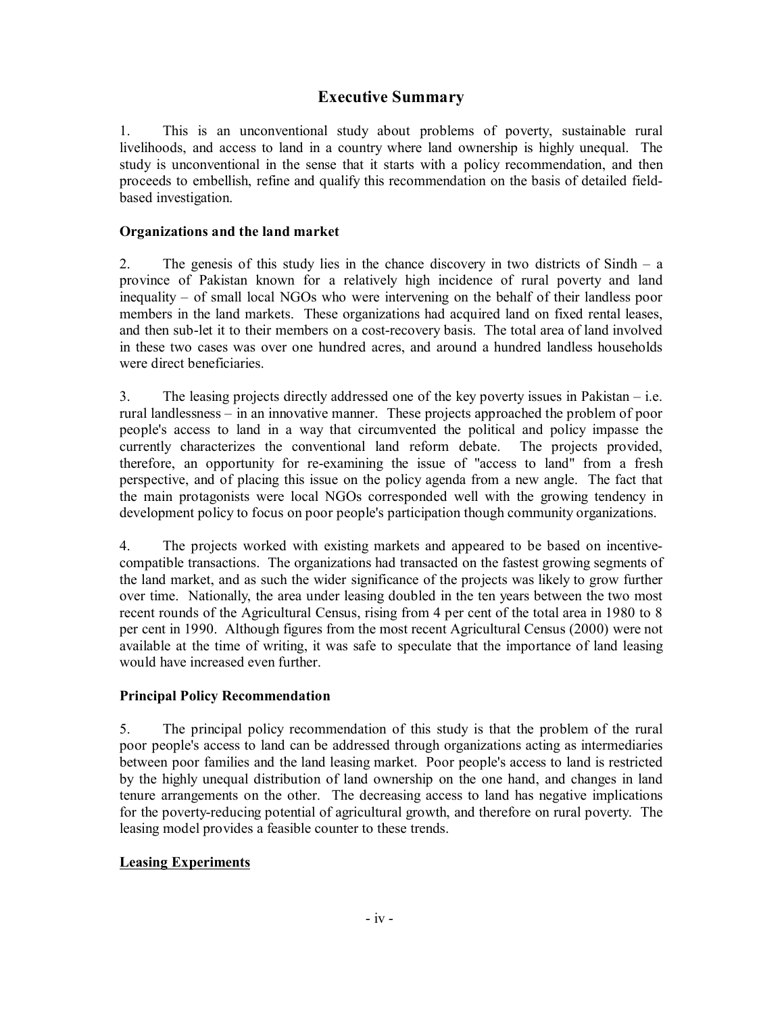## **Executive Summary**

1. This is an unconventional study about problems of poverty, sustainable rural livelihoods, and access to land in a country where land ownership is highly unequal. The study is unconventional in the sense that it starts with a policy recommendation, and then proceeds to embellish, refine and qualify this recommendation on the basis of detailed fieldbased investigation.

#### **Organizations and the land market**

2. The genesis of this study lies in the chance discovery in two districts of Sindh – a province of Pakistan known for a relatively high incidence of rural poverty and land inequality – of small local NGOs who were intervening on the behalf of their landless poor members in the land markets. These organizations had acquired land on fixed rental leases, and then sub-let it to their members on a cost-recovery basis. The total area of land involved in these two cases was over one hundred acres, and around a hundred landless households were direct beneficiaries.

3. The leasing projects directly addressed one of the key poverty issues in Pakistan – i.e. rural landlessness – in an innovative manner. These projects approached the problem of poor people's access to land in a way that circumvented the political and policy impasse the currently characterizes the conventional land reform debate. The projects provided, therefore, an opportunity for re-examining the issue of "access to land" from a fresh perspective, and of placing this issue on the policy agenda from a new angle. The fact that the main protagonists were local NGOs corresponded well with the growing tendency in development policy to focus on poor people's participation though community organizations.

4. The projects worked with existing markets and appeared to be based on incentivecompatible transactions. The organizations had transacted on the fastest growing segments of the land market, and as such the wider significance of the projects was likely to grow further over time. Nationally, the area under leasing doubled in the ten years between the two most recent rounds of the Agricultural Census, rising from 4 per cent of the total area in 1980 to 8 per cent in 1990. Although figures from the most recent Agricultural Census (2000) were not available at the time of writing, it was safe to speculate that the importance of land leasing would have increased even further.

#### **Principal Policy Recommendation**

5. The principal policy recommendation of this study is that the problem of the rural poor people's access to land can be addressed through organizations acting as intermediaries between poor families and the land leasing market. Poor people's access to land is restricted by the highly unequal distribution of land ownership on the one hand, and changes in land tenure arrangements on the other. The decreasing access to land has negative implications for the poverty-reducing potential of agricultural growth, and therefore on rural poverty. The leasing model provides a feasible counter to these trends.

#### **Leasing Experiments**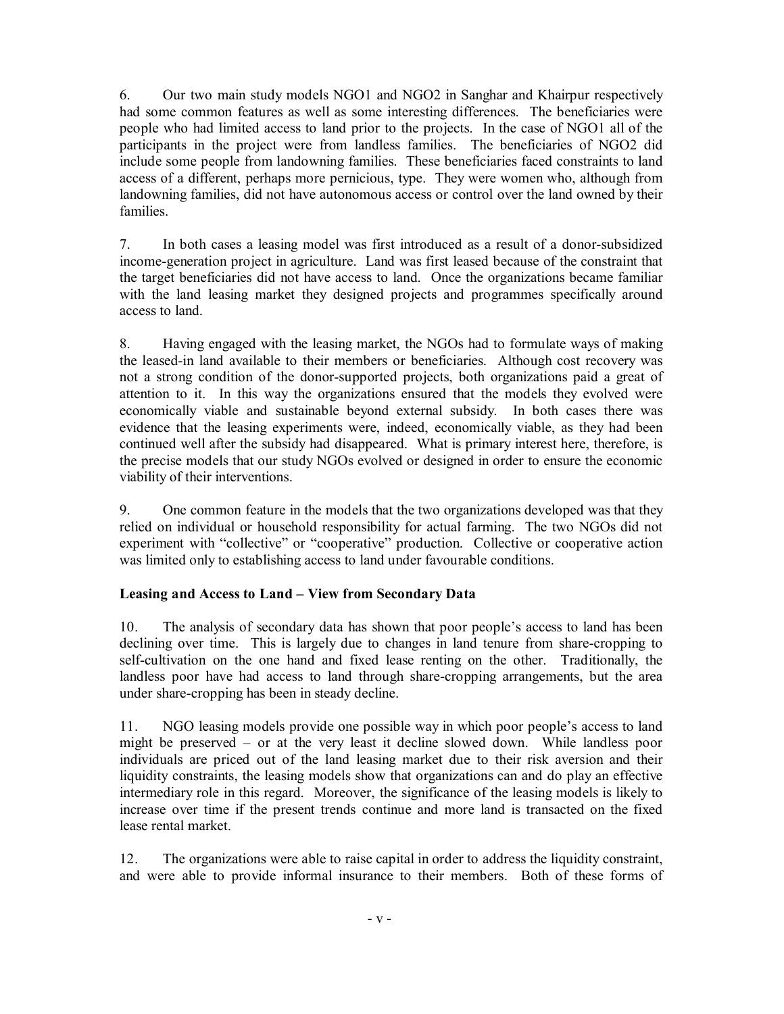6. Our two main study models NGO1 and NGO2 in Sanghar and Khairpur respectively had some common features as well as some interesting differences. The beneficiaries were people who had limited access to land prior to the projects. In the case of NGO1 all of the participants in the project were from landless families. The beneficiaries of NGO2 did include some people from landowning families. These beneficiaries faced constraints to land access of a different, perhaps more pernicious, type. They were women who, although from landowning families, did not have autonomous access or control over the land owned by their families.

7. In both cases a leasing model was first introduced as a result of a donor-subsidized income-generation project in agriculture. Land was first leased because of the constraint that the target beneficiaries did not have access to land. Once the organizations became familiar with the land leasing market they designed projects and programmes specifically around access to land.

8. Having engaged with the leasing market, the NGOs had to formulate ways of making the leased-in land available to their members or beneficiaries. Although cost recovery was not a strong condition of the donor-supported projects, both organizations paid a great of attention to it. In this way the organizations ensured that the models they evolved were economically viable and sustainable beyond external subsidy. In both cases there was evidence that the leasing experiments were, indeed, economically viable, as they had been continued well after the subsidy had disappeared. What is primary interest here, therefore, is the precise models that our study NGOs evolved or designed in order to ensure the economic viability of their interventions.

9. One common feature in the models that the two organizations developed was that they relied on individual or household responsibility for actual farming. The two NGOs did not experiment with "collective" or "cooperative" production. Collective or cooperative action was limited only to establishing access to land under favourable conditions.

#### **Leasing and Access to Land – View from Secondary Data**

10. The analysis of secondary data has shown that poor people's access to land has been declining over time. This is largely due to changes in land tenure from share-cropping to self-cultivation on the one hand and fixed lease renting on the other. Traditionally, the landless poor have had access to land through share-cropping arrangements, but the area under share-cropping has been in steady decline.

11. NGO leasing models provide one possible way in which poor people's access to land might be preserved – or at the very least it decline slowed down. While landless poor individuals are priced out of the land leasing market due to their risk aversion and their liquidity constraints, the leasing models show that organizations can and do play an effective intermediary role in this regard. Moreover, the significance of the leasing models is likely to increase over time if the present trends continue and more land is transacted on the fixed lease rental market.

12. The organizations were able to raise capital in order to address the liquidity constraint, and were able to provide informal insurance to their members. Both of these forms of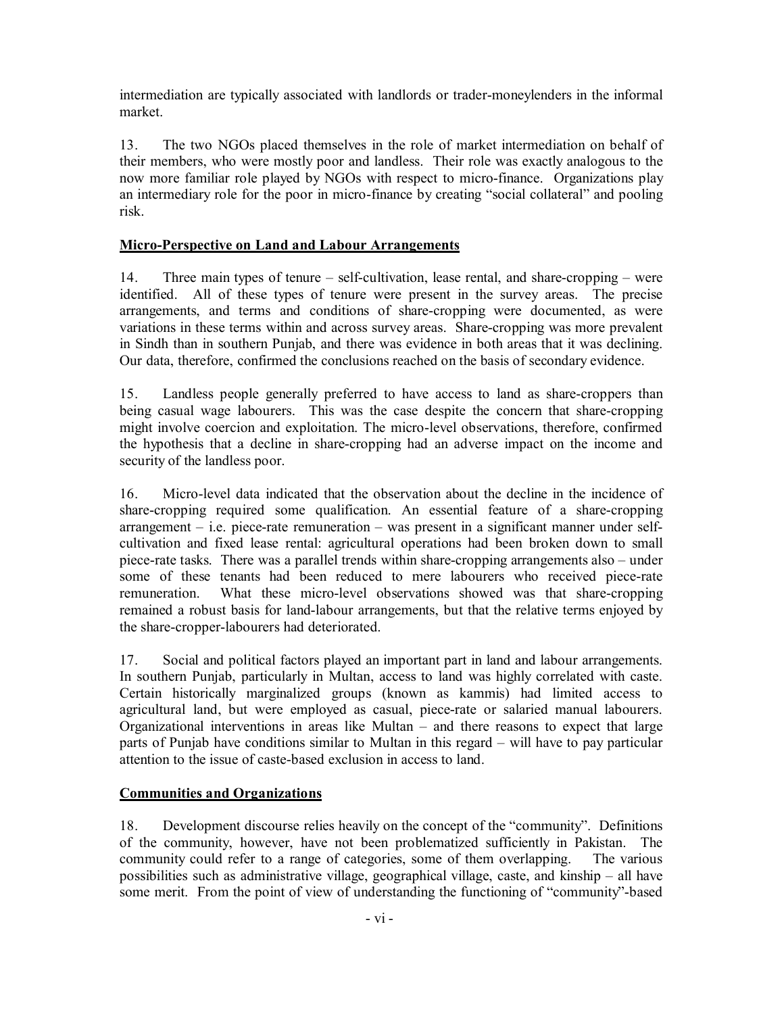intermediation are typically associated with landlords or trader-moneylenders in the informal market.

13. The two NGOs placed themselves in the role of market intermediation on behalf of their members, who were mostly poor and landless. Their role was exactly analogous to the now more familiar role played by NGOs with respect to micro-finance. Organizations play an intermediary role for the poor in micro-finance by creating "social collateral" and pooling risk.

#### **Micro-Perspective on Land and Labour Arrangements**

14. Three main types of tenure – self-cultivation, lease rental, and share-cropping – were identified. All of these types of tenure were present in the survey areas. The precise arrangements, and terms and conditions of share-cropping were documented, as were variations in these terms within and across survey areas. Share-cropping was more prevalent in Sindh than in southern Punjab, and there was evidence in both areas that it was declining. Our data, therefore, confirmed the conclusions reached on the basis of secondary evidence.

15. Landless people generally preferred to have access to land as share-croppers than being casual wage labourers. This was the case despite the concern that share-cropping might involve coercion and exploitation. The micro-level observations, therefore, confirmed the hypothesis that a decline in share-cropping had an adverse impact on the income and security of the landless poor.

16. Micro-level data indicated that the observation about the decline in the incidence of share-cropping required some qualification. An essential feature of a share-cropping arrangement – i.e. piece-rate remuneration – was present in a significant manner under selfcultivation and fixed lease rental: agricultural operations had been broken down to small piece-rate tasks. There was a parallel trends within share-cropping arrangements also – under some of these tenants had been reduced to mere labourers who received piece-rate remuneration. What these micro-level observations showed was that share-cropping remained a robust basis for land-labour arrangements, but that the relative terms enjoyed by the share-cropper-labourers had deteriorated.

17. Social and political factors played an important part in land and labour arrangements. In southern Punjab, particularly in Multan, access to land was highly correlated with caste. Certain historically marginalized groups (known as kammis) had limited access to agricultural land, but were employed as casual, piece-rate or salaried manual labourers. Organizational interventions in areas like Multan – and there reasons to expect that large parts of Punjab have conditions similar to Multan in this regard – will have to pay particular attention to the issue of caste-based exclusion in access to land.

#### **Communities and Organizations**

18. Development discourse relies heavily on the concept of the "community". Definitions of the community, however, have not been problematized sufficiently in Pakistan. The community could refer to a range of categories, some of them overlapping. The various possibilities such as administrative village, geographical village, caste, and kinship – all have some merit. From the point of view of understanding the functioning of "community"-based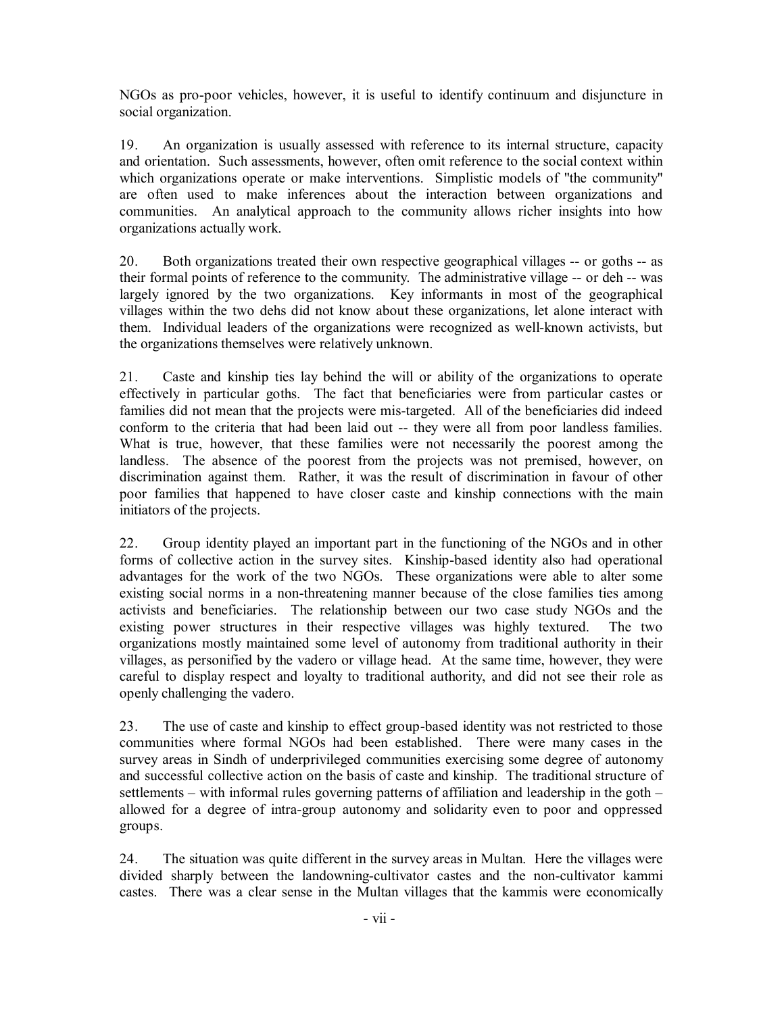NGOs as pro-poor vehicles, however, it is useful to identify continuum and disjuncture in social organization.

19. An organization is usually assessed with reference to its internal structure, capacity and orientation. Such assessments, however, often omit reference to the social context within which organizations operate or make interventions. Simplistic models of "the community" are often used to make inferences about the interaction between organizations and communities. An analytical approach to the community allows richer insights into how organizations actually work.

20. Both organizations treated their own respective geographical villages -- or goths -- as their formal points of reference to the community. The administrative village -- or deh -- was largely ignored by the two organizations. Key informants in most of the geographical villages within the two dehs did not know about these organizations, let alone interact with them. Individual leaders of the organizations were recognized as well-known activists, but the organizations themselves were relatively unknown.

21. Caste and kinship ties lay behind the will or ability of the organizations to operate effectively in particular goths. The fact that beneficiaries were from particular castes or families did not mean that the projects were mis-targeted. All of the beneficiaries did indeed conform to the criteria that had been laid out -- they were all from poor landless families. What is true, however, that these families were not necessarily the poorest among the landless. The absence of the poorest from the projects was not premised, however, on discrimination against them. Rather, it was the result of discrimination in favour of other poor families that happened to have closer caste and kinship connections with the main initiators of the projects.

22. Group identity played an important part in the functioning of the NGOs and in other forms of collective action in the survey sites. Kinship-based identity also had operational advantages for the work of the two NGOs. These organizations were able to alter some existing social norms in a non-threatening manner because of the close families ties among activists and beneficiaries. The relationship between our two case study NGOs and the existing power structures in their respective villages was highly textured. The two organizations mostly maintained some level of autonomy from traditional authority in their villages, as personified by the vadero or village head. At the same time, however, they were careful to display respect and loyalty to traditional authority, and did not see their role as openly challenging the vadero.

23. The use of caste and kinship to effect group-based identity was not restricted to those communities where formal NGOs had been established. There were many cases in the survey areas in Sindh of underprivileged communities exercising some degree of autonomy and successful collective action on the basis of caste and kinship. The traditional structure of settlements – with informal rules governing patterns of affiliation and leadership in the goth – allowed for a degree of intra-group autonomy and solidarity even to poor and oppressed groups.

24. The situation was quite different in the survey areas in Multan. Here the villages were divided sharply between the landowning-cultivator castes and the non-cultivator kammi castes. There was a clear sense in the Multan villages that the kammis were economically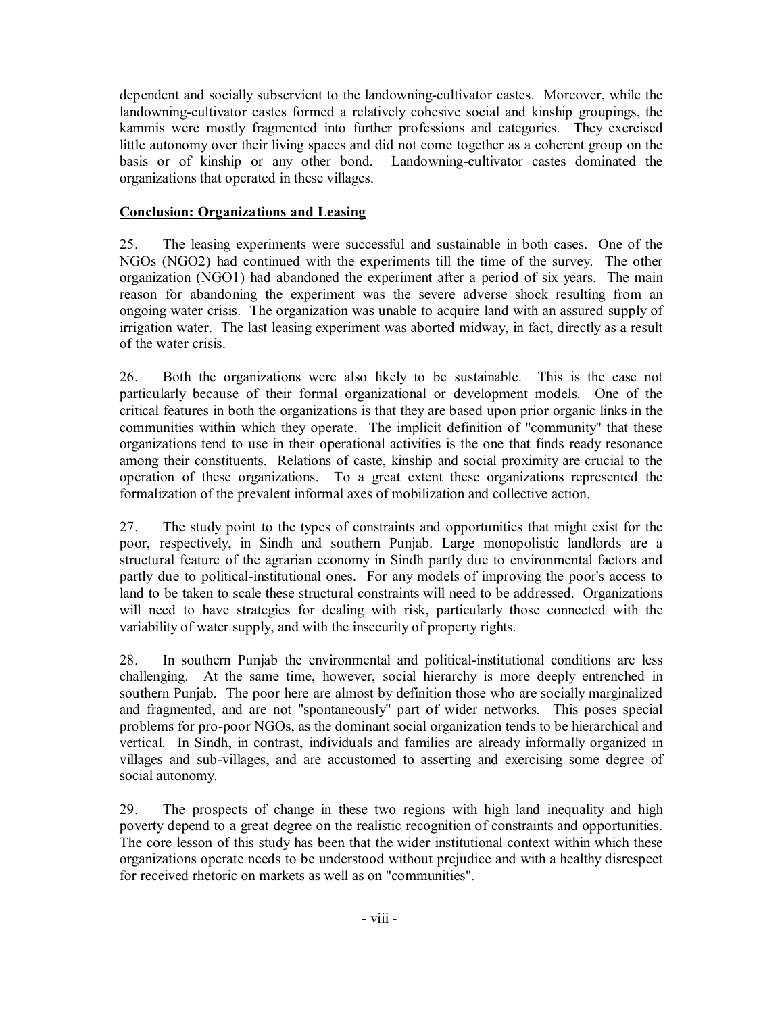dependent and socially subservient to the landowning-cultivator castes. Moreover, while the landowning-cultivator castes formed a relatively cohesive social and kinship groupings, the kammis were mostly fragmented into further professions and categories. They exercised little autonomy over their living spaces and did not come together as a coherent group on the basis or of kinship or any other bond. Landowning-cultivator castes dominated the organizations that operated in these villages.

#### **Conclusion: Organizations and Leasing**

25. The leasing experiments were successful and sustainable in both cases. One of the NGOs (NGO2) had continued with the experiments till the time of the survey. The other organization (NGO1) had abandoned the experiment after a period of six years. The main reason for abandoning the experiment was the severe adverse shock resulting from an ongoing water crisis. The organization was unable to acquire land with an assured supply of irrigation water. The last leasing experiment was aborted midway, in fact, directly as a result of the water crisis.

26. Both the organizations were also likely to be sustainable. This is the case not particularly because of their formal organizational or development models. One of the critical features in both the organizations is that they are based upon prior organic links in the communities within which they operate. The implicit definition of "community" that these organizations tend to use in their operational activities is the one that finds ready resonance among their constituents. Relations of caste, kinship and social proximity are crucial to the operation of these organizations. To a great extent these organizations represented the formalization of the prevalent informal axes of mobilization and collective action.

27. The study point to the types of constraints and opportunities that might exist for the poor, respectively, in Sindh and southern Punjab. Large monopolistic landlords are a structural feature of the agrarian economy in Sindh partly due to environmental factors and partly due to political-institutional ones. For any models of improving the poor's access to land to be taken to scale these structural constraints will need to be addressed. Organizations will need to have strategies for dealing with risk, particularly those connected with the variability of water supply, and with the insecurity of property rights.

28. In southern Punjab the environmental and political-institutional conditions are less challenging. At the same time, however, social hierarchy is more deeply entrenched in southern Punjab. The poor here are almost by definition those who are socially marginalized and fragmented, and are not "spontaneously" part of wider networks. This poses special problems for pro-poor NGOs, as the dominant social organization tends to be hierarchical and vertical. In Sindh, in contrast, individuals and families are already informally organized in villages and sub-villages, and are accustomed to asserting and exercising some degree of social autonomy.

29. The prospects of change in these two regions with high land inequality and high poverty depend to a great degree on the realistic recognition of constraints and opportunities. The core lesson of this study has been that the wider institutional context within which these organizations operate needs to be understood without prejudice and with a healthy disrespect for received rhetoric on markets as well as on "communities".